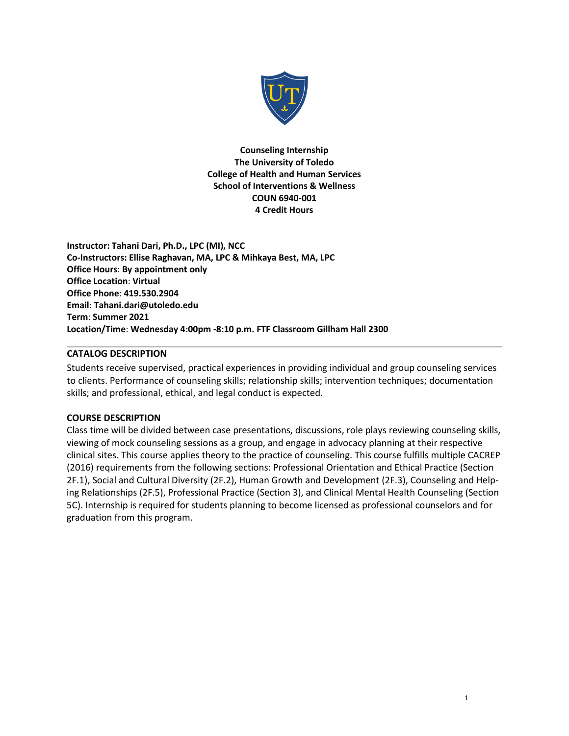

**Counseling Internship The University of Toledo College of Health and Human Services School of Interventions & Wellness COUN 6940-001 4 Credit Hours**

**Instructor: Tahani Dari, Ph.D., LPC (MI), NCC Co-Instructors: Ellise Raghavan, MA, LPC & Mihkaya Best, MA, LPC Office Hours**: **By appointment only Office Location**: **Virtual Office Phone**: **419.530.2904 Email**: **Tahani.dari@utoledo.edu Term**: **Summer 2021 Location/Time**: **Wednesday 4:00pm -8:10 p.m. FTF Classroom Gillham Hall 2300**

#### **CATALOG DESCRIPTION**

Students receive supervised, practical experiences in providing individual and group counseling services to clients. Performance of counseling skills; relationship skills; intervention techniques; documentation skills; and professional, ethical, and legal conduct is expected.

#### **COURSE DESCRIPTION**

Class time will be divided between case presentations, discussions, role plays reviewing counseling skills, viewing of mock counseling sessions as a group, and engage in advocacy planning at their respective clinical sites. This course applies theory to the practice of counseling. This course fulfills multiple CACREP (2016) requirements from the following sections: Professional Orientation and Ethical Practice (Section 2F.1), Social and Cultural Diversity (2F.2), Human Growth and Development (2F.3), Counseling and Helping Relationships (2F.5), Professional Practice (Section 3), and Clinical Mental Health Counseling (Section 5C). Internship is required for students planning to become licensed as professional counselors and for graduation from this program.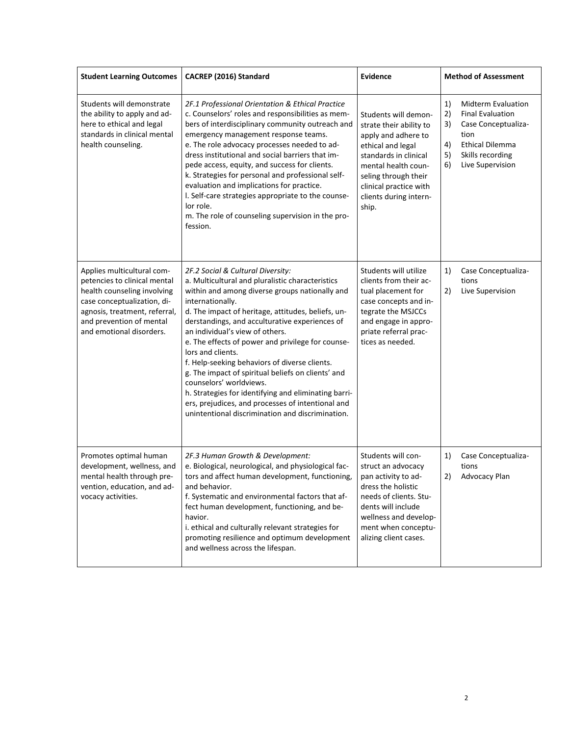| <b>Student Learning Outcomes</b>                                                                                                                                                                                  | CACREP (2016) Standard                                                                                                                                                                                                                                                                                                                                                                                                                                                                                                                                                                                                                                                              | Evidence<br><b>Method of Assessment</b>                                                                                                                                                                                          |                                                                                                                                                                                           |
|-------------------------------------------------------------------------------------------------------------------------------------------------------------------------------------------------------------------|-------------------------------------------------------------------------------------------------------------------------------------------------------------------------------------------------------------------------------------------------------------------------------------------------------------------------------------------------------------------------------------------------------------------------------------------------------------------------------------------------------------------------------------------------------------------------------------------------------------------------------------------------------------------------------------|----------------------------------------------------------------------------------------------------------------------------------------------------------------------------------------------------------------------------------|-------------------------------------------------------------------------------------------------------------------------------------------------------------------------------------------|
| Students will demonstrate<br>the ability to apply and ad-<br>here to ethical and legal<br>standards in clinical mental<br>health counseling.                                                                      | 2F.1 Professional Orientation & Ethical Practice<br>c. Counselors' roles and responsibilities as mem-<br>bers of interdisciplinary community outreach and<br>emergency management response teams.<br>e. The role advocacy processes needed to ad-<br>dress institutional and social barriers that im-<br>pede access, equity, and success for clients.<br>k. Strategies for personal and professional self-<br>evaluation and implications for practice.<br>I. Self-care strategies appropriate to the counse-<br>lor role.<br>m. The role of counseling supervision in the pro-<br>fession.                                                                                        | Students will demon-<br>strate their ability to<br>apply and adhere to<br>ethical and legal<br>standards in clinical<br>mental health coun-<br>seling through their<br>clinical practice with<br>clients during intern-<br>ship. | 1)<br><b>Midterm Evaluation</b><br>2)<br><b>Final Evaluation</b><br>3)<br>Case Conceptualiza-<br>tion<br><b>Ethical Dilemma</b><br>4)<br>5)<br>Skills recording<br>Live Supervision<br>6) |
| Applies multicultural com-<br>petencies to clinical mental<br>health counseling involving<br>case conceptualization, di-<br>agnosis, treatment, referral,<br>and prevention of mental<br>and emotional disorders. | 2F.2 Social & Cultural Diversity:<br>a. Multicultural and pluralistic characteristics<br>within and among diverse groups nationally and<br>internationally.<br>d. The impact of heritage, attitudes, beliefs, un-<br>derstandings, and acculturative experiences of<br>an individual's view of others.<br>e. The effects of power and privilege for counse-<br>lors and clients.<br>f. Help-seeking behaviors of diverse clients.<br>g. The impact of spiritual beliefs on clients' and<br>counselors' worldviews.<br>h. Strategies for identifying and eliminating barri-<br>ers, prejudices, and processes of intentional and<br>unintentional discrimination and discrimination. | Students will utilize<br>clients from their ac-<br>tual placement for<br>case concepts and in-<br>tegrate the MSJCCs<br>and engage in appro-<br>priate referral prac-<br>tices as needed.                                        | Case Conceptualiza-<br>1)<br>tions<br>Live Supervision<br>2)                                                                                                                              |
| Promotes optimal human<br>development, wellness, and<br>mental health through pre-<br>vention, education, and ad-<br>vocacy activities.                                                                           | 2F.3 Human Growth & Development:<br>e. Biological, neurological, and physiological fac-<br>tors and affect human development, functioning,<br>and behavior.<br>f. Systematic and environmental factors that af-<br>fect human development, functioning, and be-<br>havior.<br>i. ethical and culturally relevant strategies for<br>promoting resilience and optimum development<br>and wellness across the lifespan.                                                                                                                                                                                                                                                                | Students will con-<br>struct an advocacy<br>pan activity to ad-<br>dress the holistic<br>needs of clients. Stu-<br>dents will include<br>wellness and develop-<br>ment when conceptu-<br>alizing client cases.                   | Case Conceptualiza-<br>1)<br>tions<br>Advocacy Plan<br>2)                                                                                                                                 |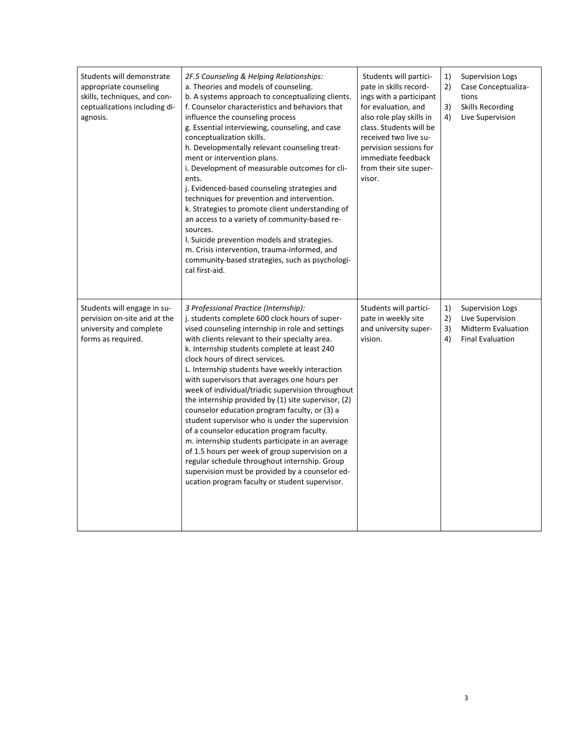| Students will demonstrate<br>appropriate counseling<br>skills, techniques, and con-<br>ceptualizations including di-<br>agnosis. | 2F.5 Counseling & Helping Relationships:<br>a. Theories and models of counseling.<br>b. A systems approach to conceptualizing clients.<br>f. Counselor characteristics and behaviors that<br>influence the counseling process<br>g. Essential interviewing, counseling, and case<br>conceptualization skills.<br>h. Developmentally relevant counseling treat-<br>ment or intervention plans.<br>i. Development of measurable outcomes for cli-<br>ents.<br>j. Evidenced-based counseling strategies and<br>techniques for prevention and intervention.<br>k. Strategies to promote client understanding of<br>an access to a variety of community-based re-<br>sources.<br>I. Suicide prevention models and strategies.<br>m. Crisis intervention, trauma-informed, and<br>community-based strategies, such as psychologi-<br>cal first-aid.                                                                | Students will partici-<br>pate in skills record-<br>ings with a participant<br>for evaluation, and<br>also role play skills in<br>class. Students will be<br>received two live su-<br>pervision sessions for<br>immediate feedback<br>from their site super-<br>visor. | 1)<br>2)<br>3)<br>4) | <b>Supervision Logs</b><br>Case Conceptualiza-<br>tions<br>Skills Recording<br>Live Supervision     |
|----------------------------------------------------------------------------------------------------------------------------------|--------------------------------------------------------------------------------------------------------------------------------------------------------------------------------------------------------------------------------------------------------------------------------------------------------------------------------------------------------------------------------------------------------------------------------------------------------------------------------------------------------------------------------------------------------------------------------------------------------------------------------------------------------------------------------------------------------------------------------------------------------------------------------------------------------------------------------------------------------------------------------------------------------------|------------------------------------------------------------------------------------------------------------------------------------------------------------------------------------------------------------------------------------------------------------------------|----------------------|-----------------------------------------------------------------------------------------------------|
| Students will engage in su-<br>pervision on-site and at the<br>university and complete<br>forms as required.                     | 3 Professional Practice (Internship):<br>j. students complete 600 clock hours of super-<br>vised counseling internship in role and settings<br>with clients relevant to their specialty area.<br>k. Internship students complete at least 240<br>clock hours of direct services.<br>L. Internship students have weekly interaction<br>with supervisors that averages one hours per<br>week of individual/triadic supervision throughout<br>the internship provided by (1) site supervisor, (2)<br>counselor education program faculty, or (3) a<br>student supervisor who is under the supervision<br>of a counselor education program faculty.<br>m. internship students participate in an average<br>of 1.5 hours per week of group supervision on a<br>regular schedule throughout internship. Group<br>supervision must be provided by a counselor ed-<br>ucation program faculty or student supervisor. | Students will partici-<br>pate in weekly site<br>and university super-<br>vision.                                                                                                                                                                                      | 1)<br>2)<br>3)<br>4) | <b>Supervision Logs</b><br>Live Supervision<br><b>Midterm Evaluation</b><br><b>Final Evaluation</b> |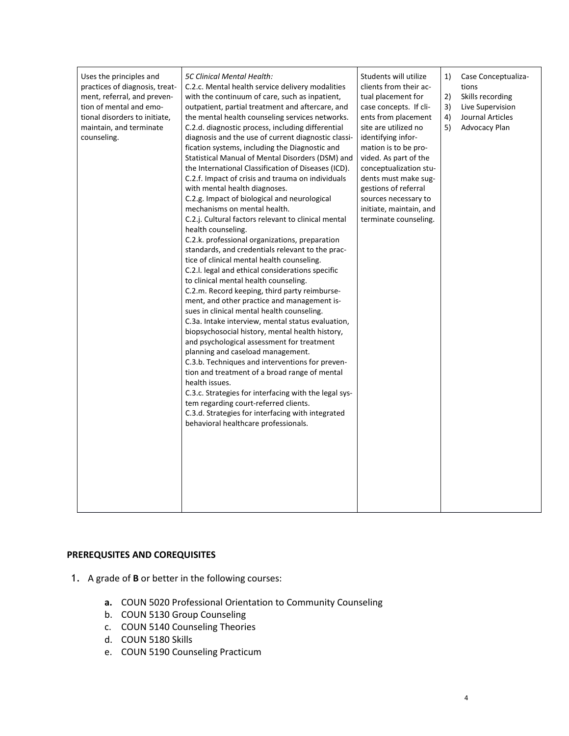| Uses the principles and<br>practices of diagnosis, treat-<br>ment, referral, and preven-<br>tion of mental and emo-<br>tional disorders to initiate,<br>maintain, and terminate<br>counseling. | <b>5C Clinical Mental Health:</b><br>C.2.c. Mental health service delivery modalities<br>with the continuum of care, such as inpatient,<br>outpatient, partial treatment and aftercare, and<br>the mental health counseling services networks.<br>C.2.d. diagnostic process, including differential<br>diagnosis and the use of current diagnostic classi-<br>fication systems, including the Diagnostic and<br>Statistical Manual of Mental Disorders (DSM) and<br>the International Classification of Diseases (ICD).<br>C.2.f. Impact of crisis and trauma on individuals<br>with mental health diagnoses.<br>C.2.g. Impact of biological and neurological<br>mechanisms on mental health.<br>C.2.j. Cultural factors relevant to clinical mental<br>health counseling.<br>C.2.k. professional organizations, preparation<br>standards, and credentials relevant to the prac-<br>tice of clinical mental health counseling.<br>C.2.I. legal and ethical considerations specific<br>to clinical mental health counseling.<br>C.2.m. Record keeping, third party reimburse-<br>ment, and other practice and management is-<br>sues in clinical mental health counseling.<br>C.3a. Intake interview, mental status evaluation,<br>biopsychosocial history, mental health history,<br>and psychological assessment for treatment<br>planning and caseload management.<br>C.3.b. Techniques and interventions for preven-<br>tion and treatment of a broad range of mental<br>health issues.<br>C.3.c. Strategies for interfacing with the legal sys-<br>tem regarding court-referred clients.<br>C.3.d. Strategies for interfacing with integrated<br>behavioral healthcare professionals. | Students will utilize<br>clients from their ac-<br>tual placement for<br>case concepts. If cli-<br>ents from placement<br>site are utilized no<br>identifying infor-<br>mation is to be pro-<br>vided. As part of the<br>conceptualization stu-<br>dents must make sug-<br>gestions of referral<br>sources necessary to<br>initiate, maintain, and<br>terminate counseling. | 1)<br>2)<br>3)<br>4)<br>5) | Case Conceptualiza-<br>tions<br>Skills recording<br>Live Supervision<br>Journal Articles<br>Advocacy Plan |
|------------------------------------------------------------------------------------------------------------------------------------------------------------------------------------------------|-------------------------------------------------------------------------------------------------------------------------------------------------------------------------------------------------------------------------------------------------------------------------------------------------------------------------------------------------------------------------------------------------------------------------------------------------------------------------------------------------------------------------------------------------------------------------------------------------------------------------------------------------------------------------------------------------------------------------------------------------------------------------------------------------------------------------------------------------------------------------------------------------------------------------------------------------------------------------------------------------------------------------------------------------------------------------------------------------------------------------------------------------------------------------------------------------------------------------------------------------------------------------------------------------------------------------------------------------------------------------------------------------------------------------------------------------------------------------------------------------------------------------------------------------------------------------------------------------------------------------------------------------------------------------------------------|-----------------------------------------------------------------------------------------------------------------------------------------------------------------------------------------------------------------------------------------------------------------------------------------------------------------------------------------------------------------------------|----------------------------|-----------------------------------------------------------------------------------------------------------|
|------------------------------------------------------------------------------------------------------------------------------------------------------------------------------------------------|-------------------------------------------------------------------------------------------------------------------------------------------------------------------------------------------------------------------------------------------------------------------------------------------------------------------------------------------------------------------------------------------------------------------------------------------------------------------------------------------------------------------------------------------------------------------------------------------------------------------------------------------------------------------------------------------------------------------------------------------------------------------------------------------------------------------------------------------------------------------------------------------------------------------------------------------------------------------------------------------------------------------------------------------------------------------------------------------------------------------------------------------------------------------------------------------------------------------------------------------------------------------------------------------------------------------------------------------------------------------------------------------------------------------------------------------------------------------------------------------------------------------------------------------------------------------------------------------------------------------------------------------------------------------------------------------|-----------------------------------------------------------------------------------------------------------------------------------------------------------------------------------------------------------------------------------------------------------------------------------------------------------------------------------------------------------------------------|----------------------------|-----------------------------------------------------------------------------------------------------------|

# **PREREQUSITES AND COREQUISITES**

- 1. A grade of **B** or better in the following courses:
	- **a.** COUN 5020 Professional Orientation to Community Counseling
	- b. COUN 5130 Group Counseling
	- c. COUN 5140 Counseling Theories
	- d. COUN 5180 Skills
	- e. COUN 5190 Counseling Practicum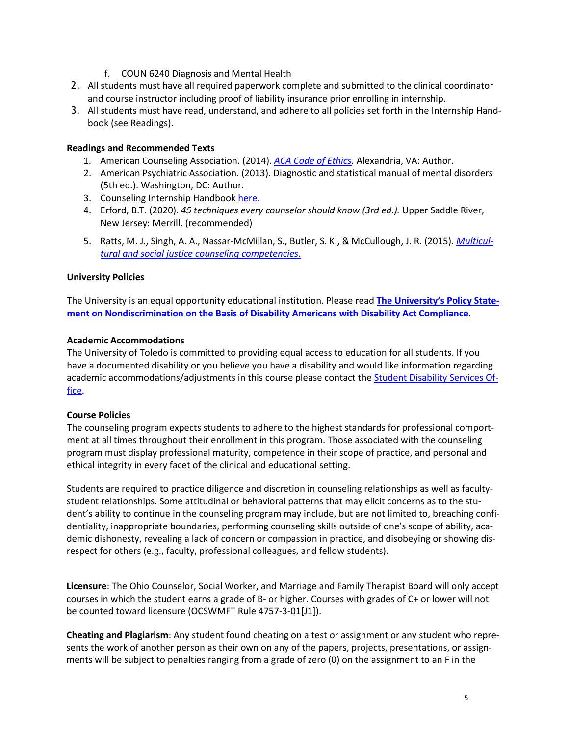- f. COUN 6240 Diagnosis and Mental Health
- 2. All students must have all required paperwork complete and submitted to the clinical coordinator and course instructor including proof of liability insurance prior enrolling in internship.
- 3. All students must have read, understand, and adhere to all policies set forth in the Internship Handbook (see Readings).

# **Readings and Recommended Texts**

- 1. American Counseling Association. (2014). *ACA Code of [Ethics.](https://www.counseling.org/resources/aca-code-of-ethics.pdf)* Alexandria, VA: Author.
- 2. American Psychiatric Association. (2013). Diagnostic and statistical manual of mental disorders (5th ed.). Washington, DC: Author.
- 3. Counseling Internship Handbook [here.](https://www.utoledo.edu/hhs/counselor-education/4Students/PDFs/MA%252520Internship%252520Handbook%252520-%252520Final%25252020.pdf)
- 4. Erford, B.T. (2020). *45 techniques every counselor should know (3rd ed.).* Upper Saddle River, New Jersey: Merrill. (recommended)
- 5. Ratts, M. J., Singh, A. A., Nassar-McMillan, S., Butler, S. K., & McCullough, J. R. (2015). *[Multicul](https://www.counseling.org/docs/default-source/competencies/multicultural-and-social-justice-counseling-competencies.pdf?sfvrsn=20)tural and social justice counseling [competencies](https://www.counseling.org/docs/default-source/competencies/multicultural-and-social-justice-counseling-competencies.pdf?sfvrsn=20)*.

#### **University Policies**

The University is an equal opportunity educational institution. Please read **The [University's](http://www.utoledo.edu/policies/administration/diversity/pdfs/3364_50_03_Nondiscrimination_o.pdf) Policy Statement on [Nondiscrimination](http://www.utoledo.edu/policies/administration/diversity/pdfs/3364_50_03_Nondiscrimination_o.pdf) on the Basis of Disability Americans with Disability Act Compliance**.

# **Academic Accommodations**

The University of Toledo is committed to providing equal access to education for all students. If you have a documented disability or you believe you have a disability and would like information regarding academic accommodations/adjustments in this course please contact the Student [Disability](http://www.utoledo.edu/offices/student-disability-services/index.html) Services Of[fice.](http://www.utoledo.edu/offices/student-disability-services/index.html)

# **Course Policies**

The counseling program expects students to adhere to the highest standards for professional comportment at all times throughout their enrollment in this program. Those associated with the counseling program must display professional maturity, competence in their scope of practice, and personal and ethical integrity in every facet of the clinical and educational setting.

Students are required to practice diligence and discretion in counseling relationships as well as facultystudent relationships. Some attitudinal or behavioral patterns that may elicit concerns as to the student's ability to continue in the counseling program may include, but are not limited to, breaching confidentiality, inappropriate boundaries, performing counseling skills outside of one's scope of ability, academic dishonesty, revealing a lack of concern or compassion in practice, and disobeying or showing disrespect for others (e.g., faculty, professional colleagues, and fellow students).

**Licensure**: The Ohio Counselor, Social Worker, and Marriage and Family Therapist Board will only accept courses in which the student earns a grade of B- or higher. Courses with grades of C+ or lower will not be counted toward licensure (OCSWMFT Rule 4757-3-01[J1]).

**Cheating and Plagiarism**: Any student found cheating on a test or assignment or any student who represents the work of another person as their own on any of the papers, projects, presentations, or assignments will be subject to penalties ranging from a grade of zero (0) on the assignment to an F in the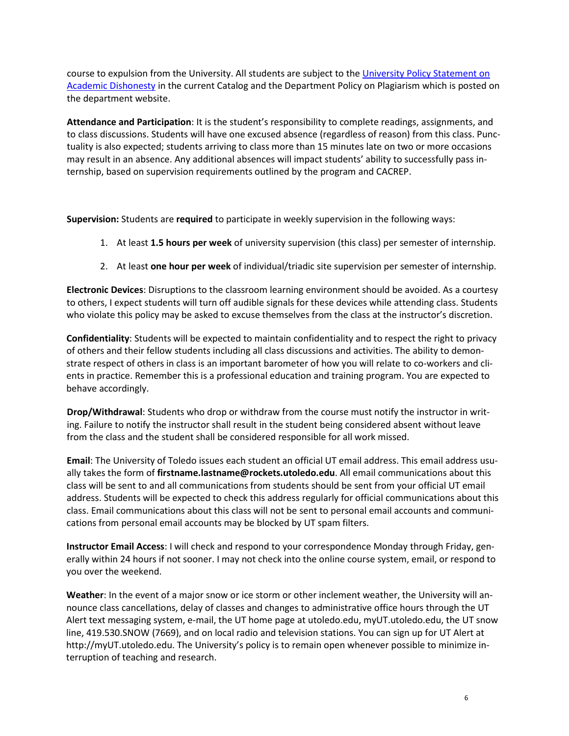course to expulsion from the University. All students are subject to the University Policy [Statement](https://www.utoledo.edu/dl/students/dishonesty.html) on Academic [Dishonesty](https://www.utoledo.edu/dl/students/dishonesty.html) in the current Catalog and the Department Policy on Plagiarism which is posted on the department website.

**Attendance and Participation**: It is the student's responsibility to complete readings, assignments, and to class discussions. Students will have one excused absence (regardless of reason) from this class. Punctuality is also expected; students arriving to class more than 15 minutes late on two or more occasions may result in an absence. Any additional absences will impact students' ability to successfully pass internship, based on supervision requirements outlined by the program and CACREP.

**Supervision:** Students are **required** to participate in weekly supervision in the following ways:

- 1. At least **1.5 hours per week** of university supervision (this class) per semester of internship.
- 2. At least **one hour per week** of individual/triadic site supervision per semester of internship.

**Electronic Devices**: Disruptions to the classroom learning environment should be avoided. As a courtesy to others, I expect students will turn off audible signals for these devices while attending class. Students who violate this policy may be asked to excuse themselves from the class at the instructor's discretion.

**Confidentiality**: Students will be expected to maintain confidentiality and to respect the right to privacy of others and their fellow students including all class discussions and activities. The ability to demonstrate respect of others in class is an important barometer of how you will relate to co-workers and clients in practice. Remember this is a professional education and training program. You are expected to behave accordingly.

**Drop/Withdrawal**: Students who drop or withdraw from the course must notify the instructor in writing. Failure to notify the instructor shall result in the student being considered absent without leave from the class and the student shall be considered responsible for all work missed.

**Email**: The University of Toledo issues each student an official UT email address. This email address usually takes the form of **firstname.lastname@rockets.utoledo.edu**. All email communications about this class will be sent to and all communications from students should be sent from your official UT email address. Students will be expected to check this address regularly for official communications about this class. Email communications about this class will not be sent to personal email accounts and communications from personal email accounts may be blocked by UT spam filters.

**Instructor Email Access**: I will check and respond to your correspondence Monday through Friday, generally within 24 hours if not sooner. I may not check into the online course system, email, or respond to you over the weekend.

**Weather**: In the event of a major snow or ice storm or other inclement weather, the University will announce class cancellations, delay of classes and changes to administrative office hours through the UT Alert text messaging system, e-mail, the UT home page at utoledo.edu, myUT.utoledo.edu, the UT snow line, 419.530.SNOW (7669), and on local radio and television stations. You can sign up for UT Alert at http://myUT.utoledo.edu. The University's policy is to remain open whenever possible to minimize interruption of teaching and research.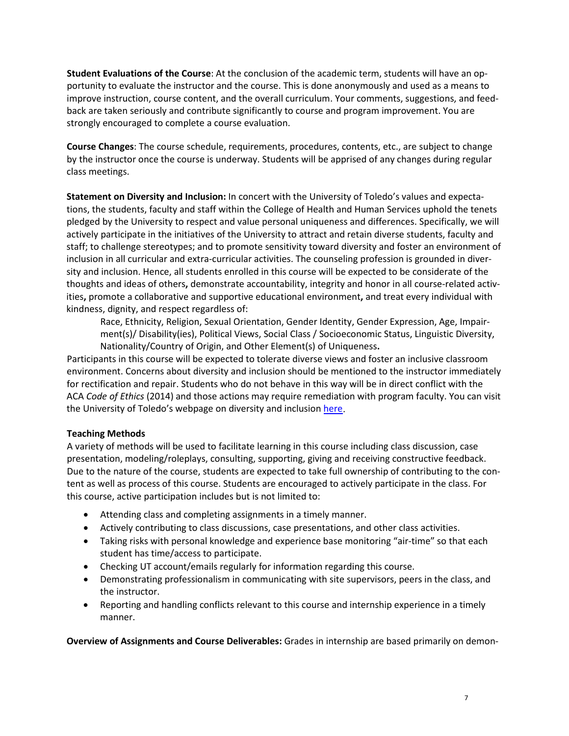**Student Evaluations of the Course**: At the conclusion of the academic term, students will have an opportunity to evaluate the instructor and the course. This is done anonymously and used as a means to improve instruction, course content, and the overall curriculum. Your comments, suggestions, and feedback are taken seriously and contribute significantly to course and program improvement. You are strongly encouraged to complete a course evaluation.

**Course Changes**: The course schedule, requirements, procedures, contents, etc., are subject to change by the instructor once the course is underway. Students will be apprised of any changes during regular class meetings.

**Statement on Diversity and Inclusion:** In concert with the University of Toledo's values and expectations, the students, faculty and staff within the College of Health and Human Services uphold the tenets pledged by the University to respect and value personal uniqueness and differences. Specifically, we will actively participate in the initiatives of the University to attract and retain diverse students, faculty and staff; to challenge stereotypes; and to promote sensitivity toward diversity and foster an environment of inclusion in all curricular and extra-curricular activities. The counseling profession is grounded in diversity and inclusion. Hence, all students enrolled in this course will be expected to be considerate of the thoughts and ideas of others**,** demonstrate accountability, integrity and honor in all course-related activities**,** promote a collaborative and supportive educational environment**,** and treat every individual with kindness, dignity, and respect regardless of:

Race, Ethnicity, Religion, Sexual Orientation, Gender Identity, Gender Expression, Age, Impairment(s)/ Disability(ies), Political Views, Social Class / Socioeconomic Status, Linguistic Diversity, Nationality/Country of Origin, and Other Element(s) of Uniqueness**.**

Participants in this course will be expected to tolerate diverse views and foster an inclusive classroom environment. Concerns about diversity and inclusion should be mentioned to the instructor immediately for rectification and repair. Students who do not behave in this way will be in direct conflict with the ACA *Code of Ethics* (2014) and those actions may require remediation with program faculty. You can visit the University of Toledo's webpage on diversity and inclusion [here.](http://www.utoledo.edu/diversity/)

# **Teaching Methods**

A variety of methods will be used to facilitate learning in this course including class discussion, case presentation, modeling/roleplays, consulting, supporting, giving and receiving constructive feedback. Due to the nature of the course, students are expected to take full ownership of contributing to the content as well as process of this course. Students are encouraged to actively participate in the class. For this course, active participation includes but is not limited to:

- Attending class and completing assignments in a timely manner.
- Actively contributing to class discussions, case presentations, and other class activities.
- Taking risks with personal knowledge and experience base monitoring "air-time" so that each student has time/access to participate.
- Checking UT account/emails regularly for information regarding this course.
- Demonstrating professionalism in communicating with site supervisors, peers in the class, and the instructor.
- Reporting and handling conflicts relevant to this course and internship experience in a timely manner.

**Overview of Assignments and Course Deliverables:** Grades in internship are based primarily on demon-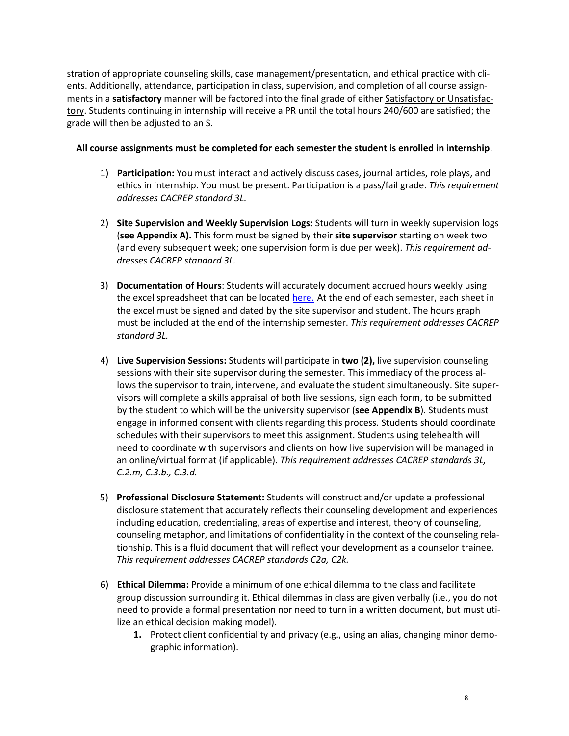stration of appropriate counseling skills, case management/presentation, and ethical practice with clients. Additionally, attendance, participation in class, supervision, and completion of all course assignments in a **satisfactory** manner will be factored into the final grade of either Satisfactory or Unsatisfactory. Students continuing in internship will receive a PR until the total hours 240/600 are satisfied; the grade will then be adjusted to an S.

# **All course assignments must be completed for each semester the student is enrolled in internship**.

- 1) **Participation:** You must interact and actively discuss cases, journal articles, role plays, and ethics in internship. You must be present. Participation is a pass/fail grade. *This requirement addresses CACREP standard 3L.*
- 2) **Site Supervision and Weekly Supervision Logs:** Students will turn in weekly supervision logs (**see Appendix A).** This form must be signed by their **site supervisor** starting on week two (and every subsequent week; one supervision form is due per week). *This requirement addresses CACREP standard 3L.*
- 3) **Documentation of Hours**: Students will accurately document accrued hours weekly using the excel spreadsheet that can be located [here.](https://www.utoledo.edu/hhs/counselor-education/4Students/4Students.html) At the end of each semester, each sheet in the excel must be signed and dated by the site supervisor and student. The hours graph must be included at the end of the internship semester. *This requirement addresses CACREP standard 3L.*
- 4) **Live Supervision Sessions:** Students will participate in **two (2),** live supervision counseling sessions with their site supervisor during the semester. This immediacy of the process allows the supervisor to train, intervene, and evaluate the student simultaneously. Site supervisors will complete a skills appraisal of both live sessions, sign each form, to be submitted by the student to which will be the university supervisor (**see Appendix B**). Students must engage in informed consent with clients regarding this process. Students should coordinate schedules with their supervisors to meet this assignment. Students using telehealth will need to coordinate with supervisors and clients on how live supervision will be managed in an online/virtual format (if applicable). *This requirement addresses CACREP standards 3L, C.2.m, C.3.b., C.3.d.*
- 5) **Professional Disclosure Statement:** Students will construct and/or update a professional disclosure statement that accurately reflects their counseling development and experiences including education, credentialing, areas of expertise and interest, theory of counseling, counseling metaphor, and limitations of confidentiality in the context of the counseling relationship. This is a fluid document that will reflect your development as a counselor trainee. *This requirement addresses CACREP standards C2a, C2k.*
- 6) **Ethical Dilemma:** Provide a minimum of one ethical dilemma to the class and facilitate group discussion surrounding it. Ethical dilemmas in class are given verbally (i.e., you do not need to provide a formal presentation nor need to turn in a written document, but must utilize an ethical decision making model).
	- **1.** Protect client confidentiality and privacy (e.g., using an alias, changing minor demographic information).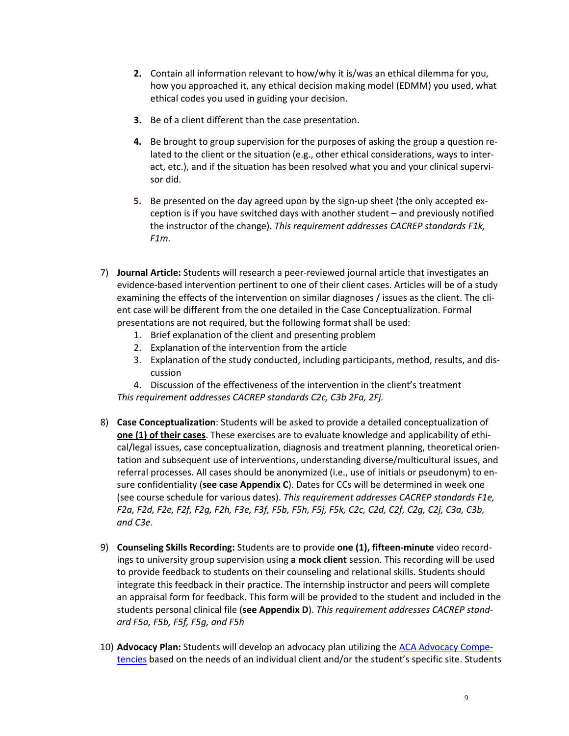- **2.** Contain all information relevant to how/why it is/was an ethical dilemma for you, how you approached it, any ethical decision making model (EDMM) you used, what ethical codes you used in guiding your decision.
- **3.** Be of a client different than the case presentation.
- **4.** Be brought to group supervision for the purposes of asking the group a question related to the client or the situation (e.g., other ethical considerations, ways to interact, etc.), and if the situation has been resolved what you and your clinical supervisor did.
- **5.** Be presented on the day agreed upon by the sign-up sheet (the only accepted exception is if you have switched days with another student – and previously notified the instructor of the change). *This requirement addresses CACREP standards F1k, F1m.*
- 7) **Journal Article:** Students will research a peer-reviewed journal article that investigates an evidence-based intervention pertinent to one of their client cases. Articles will be of a study examining the effects of the intervention on similar diagnoses / issues as the client. The client case will be different from the one detailed in the Case Conceptualization. Formal presentations are not required, but the following format shall be used:
	- 1. Brief explanation of the client and presenting problem
	- 2. Explanation of the intervention from the article
	- 3. Explanation of the study conducted, including participants, method, results, and discussion
	- 4. Discussion of the effectiveness of the intervention in the client's treatment *This requirement addresses CACREP standards C2c, C3b 2Fa, 2Fj.*
- 8) **Case Conceptualization**: Students will be asked to provide a detailed conceptualization of **one (1) of their cases**. These exercises are to evaluate knowledge and applicability of ethical/legal issues, case conceptualization, diagnosis and treatment planning, theoretical orientation and subsequent use of interventions, understanding diverse/multicultural issues, and referral processes. All cases should be anonymized (i.e., use of initials or pseudonym) to ensure confidentiality (**see case Appendix C**). Dates for CCs will be determined in week one (see course schedule for various dates). *This requirement addresses CACREP standards F1e,* F2a, F2d, F2e, F2f, F2q, F2h, F3e, F3f, F5b, F5h, F5j, F5k, C2c, C2d, C2f, C2q, C2j, C3a, C3b, *and C3e.*
- 9) **Counseling Skills Recording:** Students are to provide **one (1), fifteen-minute** video recordings to university group supervision using **a mock client** session. This recording will be used to provide feedback to students on their counseling and relational skills. Students should integrate this feedback in their practice. The internship instructor and peers will complete an appraisal form for feedback. This form will be provided to the student and included in the students personal clinical file (**see Appendix D**). *This requirement addresses CACREP standard F5a, F5b, F5f, F5g, and F5h*
- 10) **Advocacy Plan:** Students will develop an advocacy plan utilizing the ACA [Advocacy](https://www.counseling.org/docs/default-source/competencies/aca-advocacy-competencies-updated-may-2020.pdf?sfvrsn=f410212c_4) Compe[tencies](https://www.counseling.org/docs/default-source/competencies/aca-advocacy-competencies-updated-may-2020.pdf?sfvrsn=f410212c_4) based on the needs of an individual client and/or the student's specific site. Students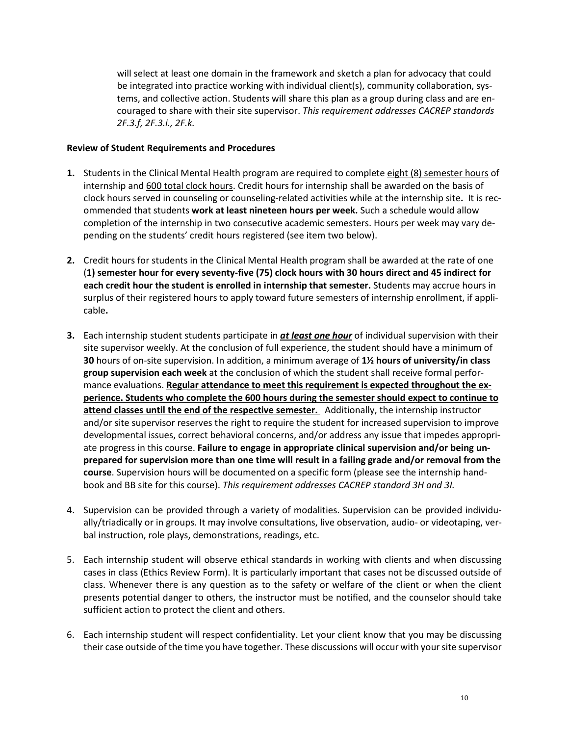will select at least one domain in the framework and sketch a plan for advocacy that could be integrated into practice working with individual client(s), community collaboration, systems, and collective action. Students will share this plan as a group during class and are encouraged to share with their site supervisor. *This requirement addresses CACREP standards 2F.3.f, 2F.3.i., 2F.k.*

### **Review of Student Requirements and Procedures**

- **1.** Students in the Clinical Mental Health program are required to complete eight (8) semester hours of internship and 600 total clock hours. Credit hours for internship shall be awarded on the basis of clock hours served in counseling or counseling-related activities while at the internship site**.** It is recommended that students **work at least nineteen hours per week.** Such a schedule would allow completion of the internship in two consecutive academic semesters. Hours per week may vary depending on the students' credit hours registered (see item two below).
- **2.** Credit hours for students in the Clinical Mental Health program shall be awarded at the rate of one (**1) semester hour for every seventy-five (75) clock hours with 30 hours direct and 45 indirect for each credit hour the student is enrolled in internship that semester.** Students may accrue hours in surplus of their registered hours to apply toward future semesters of internship enrollment, if applicable**.**
- **3.** Each internship student students participate in *at least one hour* of individual supervision with their site supervisor weekly. At the conclusion of full experience, the student should have a minimum of **30** hours of on-site supervision. In addition, a minimum average of **1½ hours of university/in class group supervision each week** at the conclusion of which the student shall receive formal performance evaluations. **Regular attendance to meet this requirement is expected throughout the experience. Students who complete the 600 hours during the semester should expect to continue to attend classes until the end of the respective semester.** Additionally, the internship instructor and/or site supervisor reserves the right to require the student for increased supervision to improve developmental issues, correct behavioral concerns, and/or address any issue that impedes appropriate progress in this course. **Failure to engage in appropriate clinical supervision and/or being unprepared for supervision more than one time will result in a failing grade and/or removal from the course**. Supervision hours will be documented on a specific form (please see the internship handbook and BB site for this course). *This requirement addresses CACREP standard 3H and 3I.*
- 4. Supervision can be provided through a variety of modalities. Supervision can be provided individually/triadically or in groups. It may involve consultations, live observation, audio- or videotaping, verbal instruction, role plays, demonstrations, readings, etc.
- 5. Each internship student will observe ethical standards in working with clients and when discussing cases in class (Ethics Review Form). It is particularly important that cases not be discussed outside of class. Whenever there is any question as to the safety or welfare of the client or when the client presents potential danger to others, the instructor must be notified, and the counselor should take sufficient action to protect the client and others.
- 6. Each internship student will respect confidentiality. Let your client know that you may be discussing their case outside of the time you have together. These discussions will occur with yoursite supervisor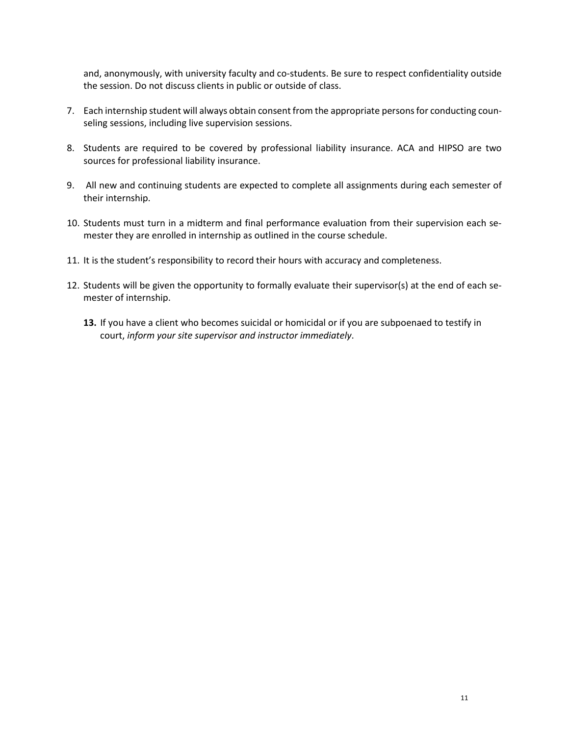and, anonymously, with university faculty and co-students. Be sure to respect confidentiality outside the session. Do not discuss clients in public or outside of class.

- 7. Each internship student will always obtain consent from the appropriate personsfor conducting counseling sessions, including live supervision sessions.
- 8. Students are required to be covered by professional liability insurance. ACA and HIPSO are two sources for professional liability insurance.
- 9. All new and continuing students are expected to complete all assignments during each semester of their internship.
- 10. Students must turn in a midterm and final performance evaluation from their supervision each semester they are enrolled in internship as outlined in the course schedule.
- 11. It is the student's responsibility to record their hours with accuracy and completeness.
- 12. Students will be given the opportunity to formally evaluate their supervisor(s) at the end of each semester of internship.
	- **13.** If you have a client who becomes suicidal or homicidal or if you are subpoenaed to testify in court, *inform your site supervisor and instructor immediately*.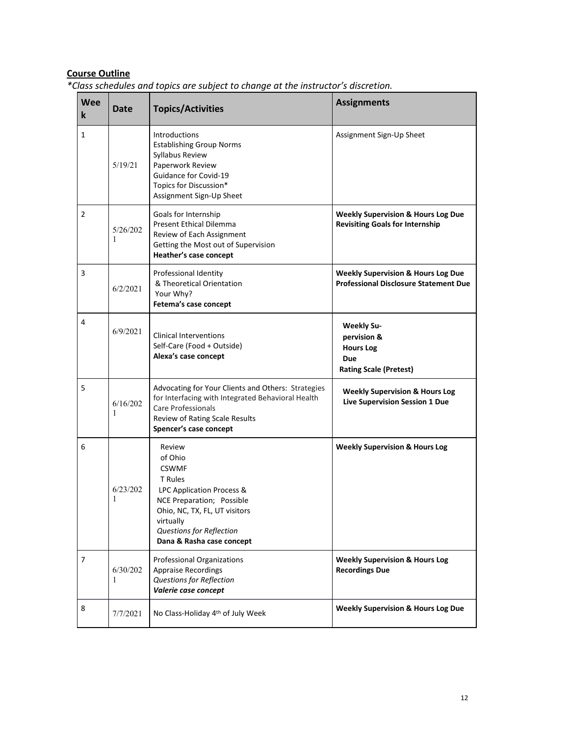# **Course Outline**

| <b>Wee</b><br>$\bf k$ | <b>Date</b>   | class schedales and topics are sabject to change at the mstractor's also ction.<br><b>Topics/Activities</b>                                                                                                   | <b>Assignments</b>                                                                            |
|-----------------------|---------------|---------------------------------------------------------------------------------------------------------------------------------------------------------------------------------------------------------------|-----------------------------------------------------------------------------------------------|
| 1                     | 5/19/21       | <b>Introductions</b><br><b>Establishing Group Norms</b><br>Syllabus Review<br>Paperwork Review<br>Guidance for Covid-19<br>Topics for Discussion*<br>Assignment Sign-Up Sheet                                 | Assignment Sign-Up Sheet                                                                      |
| 2                     | 5/26/202<br>1 | Goals for Internship<br>Present Ethical Dilemma<br>Review of Each Assignment<br>Getting the Most out of Supervision<br>Heather's case concept                                                                 | <b>Weekly Supervision &amp; Hours Log Due</b><br><b>Revisiting Goals for Internship</b>       |
| 3                     | 6/2/2021      | Professional Identity<br>& Theoretical Orientation<br>Your Why?<br>Fetema's case concept                                                                                                                      | <b>Weekly Supervision &amp; Hours Log Due</b><br><b>Professional Disclosure Statement Due</b> |
| 4                     | 6/9/2021      | <b>Clinical Interventions</b><br>Self-Care (Food + Outside)<br>Alexa's case concept                                                                                                                           | <b>Weekly Su-</b><br>pervision &<br><b>Hours Log</b><br>Due<br><b>Rating Scale (Pretest)</b>  |
| 5                     | 6/16/202<br>1 | Advocating for Your Clients and Others: Strategies<br>for Interfacing with Integrated Behavioral Health<br><b>Care Professionals</b><br>Review of Rating Scale Results<br>Spencer's case concept              | <b>Weekly Supervision &amp; Hours Log</b><br>Live Supervision Session 1 Due                   |
| 6                     | 6/23/202<br>1 | Review<br>of Ohio<br><b>CSWMF</b><br>T Rules<br>LPC Application Process &<br>NCE Preparation; Possible<br>Ohio, NC, TX, FL, UT visitors<br>virtually<br>Questions for Reflection<br>Dana & Rasha case concept | <b>Weekly Supervision &amp; Hours Log</b>                                                     |
| 7                     | 6/30/202<br>1 | Professional Organizations<br><b>Appraise Recordings</b><br>Questions for Reflection<br>Valerie case concept                                                                                                  | <b>Weekly Supervision &amp; Hours Log</b><br><b>Recordings Due</b>                            |
| 8                     | 7/7/2021      | No Class-Holiday 4th of July Week                                                                                                                                                                             | <b>Weekly Supervision &amp; Hours Log Due</b>                                                 |

*\*Class schedules and topics are subject to change at the instructor's discretion.*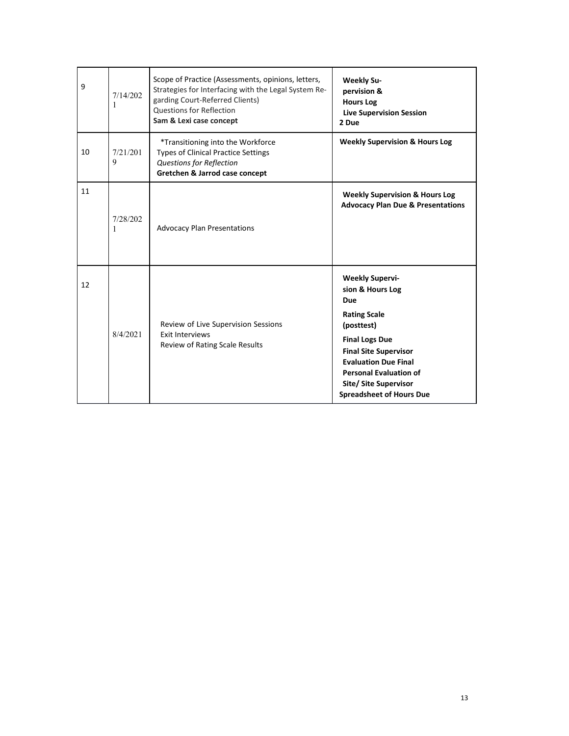| 9  | 7/14/202<br>1 | Scope of Practice (Assessments, opinions, letters,<br>Strategies for Interfacing with the Legal System Re-<br>garding Court-Referred Clients)<br><b>Questions for Reflection</b><br>Sam & Lexi case concept | <b>Weekly Su-</b><br>pervision &<br><b>Hours Log</b><br><b>Live Supervision Session</b><br>2 Due                                                                                                                                                                            |
|----|---------------|-------------------------------------------------------------------------------------------------------------------------------------------------------------------------------------------------------------|-----------------------------------------------------------------------------------------------------------------------------------------------------------------------------------------------------------------------------------------------------------------------------|
| 10 | 7/21/201<br>9 | *Transitioning into the Workforce<br><b>Types of Clinical Practice Settings</b><br>Questions for Reflection<br>Gretchen & Jarrod case concept                                                               | <b>Weekly Supervision &amp; Hours Log</b>                                                                                                                                                                                                                                   |
| 11 | 7/28/202<br>1 | <b>Advocacy Plan Presentations</b>                                                                                                                                                                          | <b>Weekly Supervision &amp; Hours Log</b><br><b>Advocacy Plan Due &amp; Presentations</b>                                                                                                                                                                                   |
| 12 | 8/4/2021      | Review of Live Supervision Sessions<br><b>Exit Interviews</b><br><b>Review of Rating Scale Results</b>                                                                                                      | <b>Weekly Supervi-</b><br>sion & Hours Log<br>Due<br><b>Rating Scale</b><br>(posttest)<br><b>Final Logs Due</b><br><b>Final Site Supervisor</b><br><b>Evaluation Due Final</b><br><b>Personal Evaluation of</b><br>Site/ Site Supervisor<br><b>Spreadsheet of Hours Due</b> |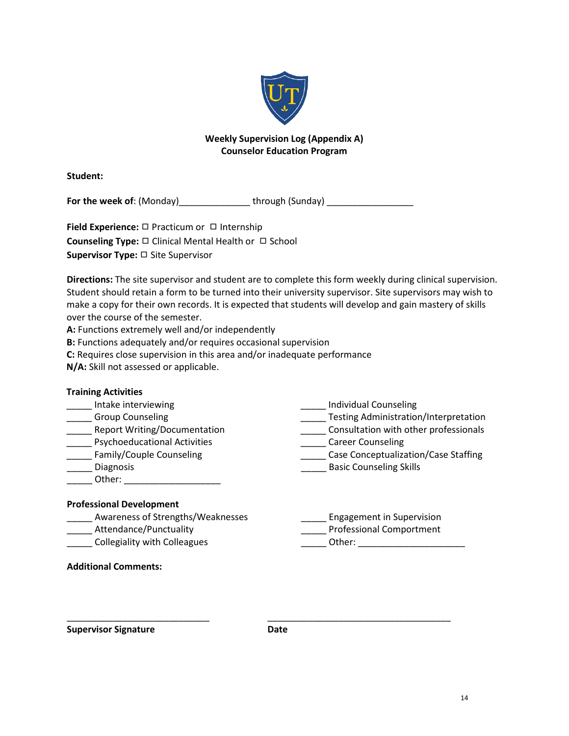

# **Weekly Supervision Log (Appendix A) Counselor Education Program**

**Student:**

**For the week of**: (Monday)\_\_\_\_\_\_\_\_\_\_\_\_\_\_ through (Sunday) \_\_\_\_\_\_\_\_\_\_\_\_\_\_\_\_\_

**Field Experience:** □ Practicum or □ Internship **Counseling Type:** ◻ Clinical Mental Health or ◻ School **Supervisor Type:** ◻ Site Supervisor

**Directions:** The site supervisor and student are to complete this form weekly during clinical supervision. Student should retain a form to be turned into their university supervisor. Site supervisors may wish to make a copy for their own records. It is expected that students will develop and gain mastery of skills over the course of the semester.

**A:** Functions extremely well and/or independently

**B:** Functions adequately and/or requires occasional supervision

**C:** Requires close supervision in this area and/or inadequate performance

**N/A:** Skill not assessed or applicable.

| <b>Training Activities</b>          |                                              |
|-------------------------------------|----------------------------------------------|
| Intake interviewing                 | Individual Counseling                        |
| <b>Group Counseling</b>             | <b>Testing Administration/Interpretation</b> |
| <b>Report Writing/Documentation</b> | Consultation with other professionals        |
| <b>Psychoeducational Activities</b> | <b>Career Counseling</b>                     |
| Family/Couple Counseling            | Case Conceptualization/Case Staffing         |
| <b>Diagnosis</b>                    | <b>Basic Counseling Skills</b>               |
| Other:                              |                                              |
| <b>Professional Development</b>     |                                              |
| Awareness of Strengths/Weaknesses   | <b>Engagement in Supervision</b>             |
| Attendance/Punctuality              | <b>Professional Comportment</b>              |
| <b>Collegiality with Colleagues</b> | Other:                                       |

**Supervisor Signature Date**

\_\_\_\_\_\_\_\_\_\_\_\_\_\_\_\_\_\_\_\_\_\_\_\_\_\_\_\_ \_\_\_\_\_\_\_\_\_\_\_\_\_\_\_\_\_\_\_\_\_\_\_\_\_\_\_\_\_\_\_\_\_\_\_\_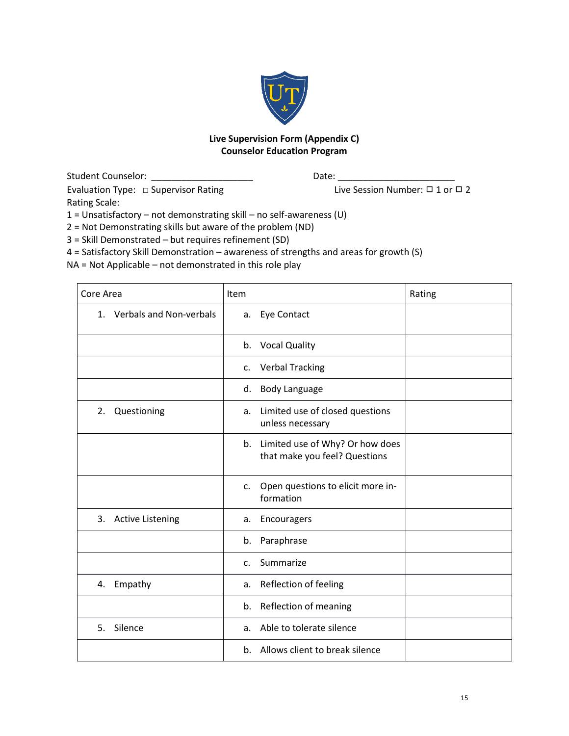

# **Live Supervision Form (Appendix C) Counselor Education Program**

Student Counselor: \_\_\_\_\_\_\_\_\_\_\_\_\_\_\_\_\_\_\_\_ Date: \_\_\_\_\_\_\_\_\_\_\_\_\_\_\_\_\_\_\_\_\_\_\_ Evaluation Type: □ Supervisor Rating Live Session Number: □ 1 or □ 2 Rating Scale:

1 = Unsatisfactory – not demonstrating skill – no self-awareness (U)

2 = Not Demonstrating skills but aware of the problem (ND)

3 = Skill Demonstrated – but requires refinement (SD)

4 = Satisfactory Skill Demonstration – awareness of strengths and areas for growth (S)

NA = Not Applicable – not demonstrated in this role play

| Core Area                     | Item                                                                | Rating |
|-------------------------------|---------------------------------------------------------------------|--------|
| 1. Verbals and Non-verbals    | a. Eye Contact                                                      |        |
|                               | <b>Vocal Quality</b><br>b.                                          |        |
|                               | <b>Verbal Tracking</b><br>c.                                        |        |
|                               | <b>Body Language</b><br>d.                                          |        |
| Questioning<br>2.             | Limited use of closed questions<br>a.<br>unless necessary           |        |
|                               | b. Limited use of Why? Or how does<br>that make you feel? Questions |        |
|                               | Open questions to elicit more in-<br>$C_{\star}$<br>formation       |        |
| 3.<br><b>Active Listening</b> | Encouragers<br>a.                                                   |        |
|                               | Paraphrase<br>b.                                                    |        |
|                               | Summarize<br>$\mathsf{C}$ .                                         |        |
| Empathy<br>4.                 | Reflection of feeling<br>a.                                         |        |
|                               | Reflection of meaning<br>b.                                         |        |
| Silence<br>5.                 | Able to tolerate silence<br>a.                                      |        |
|                               | b. Allows client to break silence                                   |        |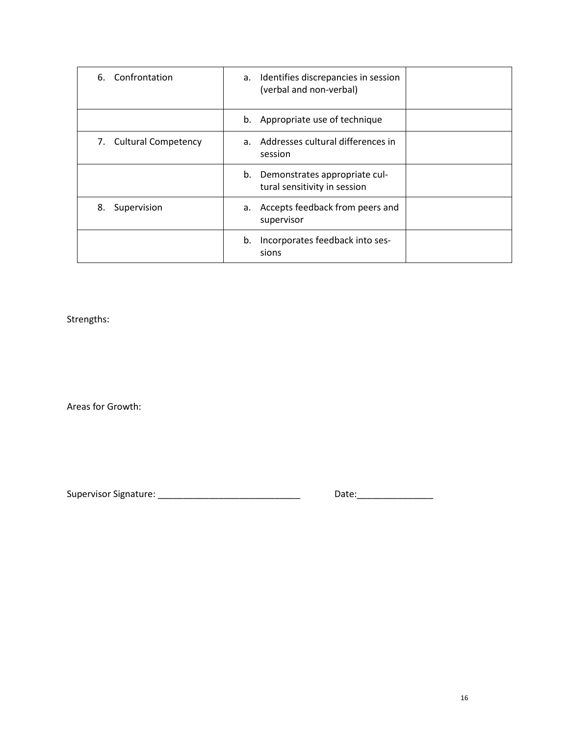| 6. Confrontation       | a. Identifies discrepancies in session<br>(verbal and non-verbal) |
|------------------------|-------------------------------------------------------------------|
|                        | b. Appropriate use of technique                                   |
| 7. Cultural Competency | a. Addresses cultural differences in<br>session                   |
|                        | b. Demonstrates appropriate cul-<br>tural sensitivity in session  |
| Supervision<br>8.      | a. Accepts feedback from peers and<br>supervisor                  |
|                        | Incorporates feedback into ses-<br>b.<br>sions                    |

Strengths:

Areas for Growth:

Supervisor Signature: \_\_\_\_\_\_\_\_\_\_\_\_\_\_\_\_\_\_\_\_\_\_\_\_\_\_\_\_ Date:\_\_\_\_\_\_\_\_\_\_\_\_\_\_\_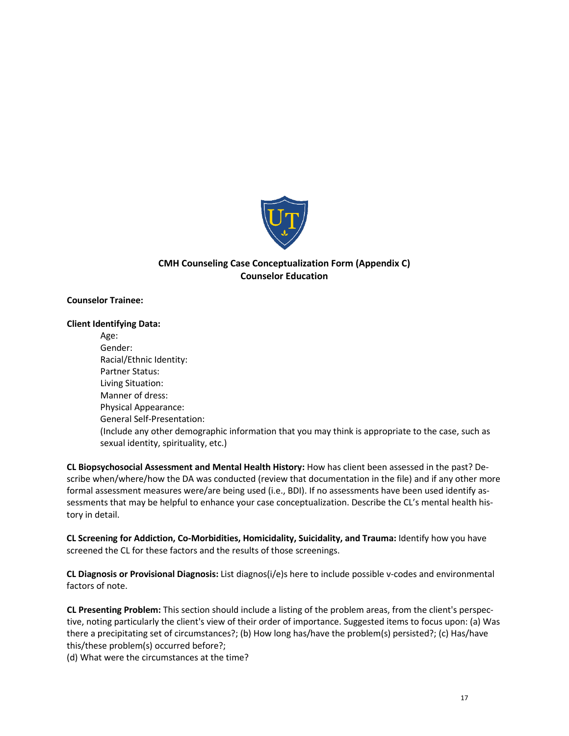

# **CMH Counseling Case Conceptualization Form (Appendix C) Counselor Education**

#### **Counselor Trainee:**

#### **Client Identifying Data:**

Age: Gender: Racial/Ethnic Identity: Partner Status: Living Situation: Manner of dress: Physical Appearance: General Self-Presentation: (Include any other demographic information that you may think is appropriate to the case, such as sexual identity, spirituality, etc.)

**CL Biopsychosocial Assessment and Mental Health History:** How has client been assessed in the past? Describe when/where/how the DA was conducted (review that documentation in the file) and if any other more formal assessment measures were/are being used (i.e., BDI). If no assessments have been used identify assessments that may be helpful to enhance your case conceptualization. Describe the CL's mental health history in detail.

**CL Screening for Addiction, Co-Morbidities, Homicidality, Suicidality, and Trauma:** Identify how you have screened the CL for these factors and the results of those screenings.

**CL Diagnosis or Provisional Diagnosis:** List diagnos(i/e)s here to include possible v-codes and environmental factors of note.

**CL Presenting Problem:** This section should include a listing of the problem areas, from the client's perspective, noting particularly the client's view of their order of importance. Suggested items to focus upon: (a) Was there a precipitating set of circumstances?; (b) How long has/have the problem(s) persisted?; (c) Has/have this/these problem(s) occurred before?;

(d) What were the circumstances at the time?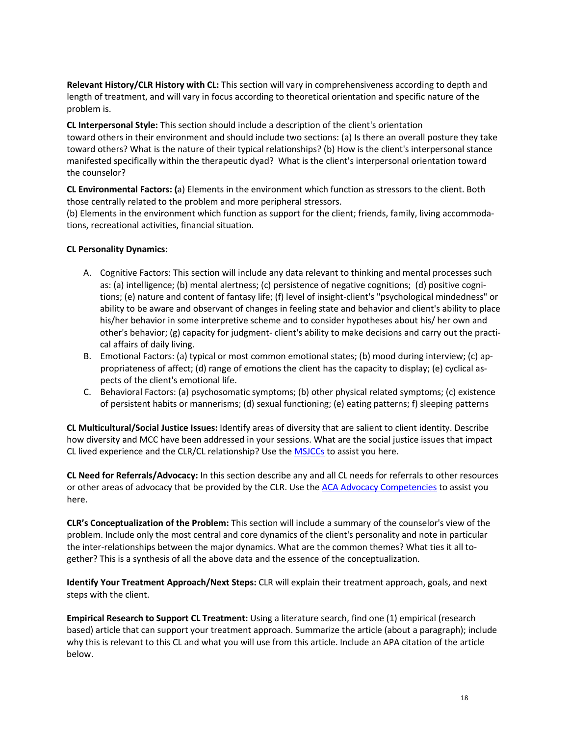**Relevant History/CLR History with CL:** This section will vary in comprehensiveness according to depth and length of treatment, and will vary in focus according to theoretical orientation and specific nature of the problem is.

**CL Interpersonal Style:** This section should include a description of the client's orientation toward others in their environment and should include two sections: (a) Is there an overall posture they take toward others? What is the nature of their typical relationships? (b) How is the client's interpersonal stance manifested specifically within the therapeutic dyad? What is the client's interpersonal orientation toward the counselor?

**CL Environmental Factors: (**a) Elements in the environment which function as stressors to the client. Both those centrally related to the problem and more peripheral stressors.

(b) Elements in the environment which function as support for the client; friends, family, living accommodations, recreational activities, financial situation.

#### **CL Personality Dynamics:**

- A. Cognitive Factors: This section will include any data relevant to thinking and mental processes such as: (a) intelligence; (b) mental alertness; (c) persistence of negative cognitions; (d) positive cognitions; (e) nature and content of fantasy life; (f) level of insight-client's "psychological mindedness" or ability to be aware and observant of changes in feeling state and behavior and client's ability to place his/her behavior in some interpretive scheme and to consider hypotheses about his/ her own and other's behavior; (g) capacity for judgment- client's ability to make decisions and carry out the practical affairs of daily living.
- B. Emotional Factors: (a) typical or most common emotional states; (b) mood during interview; (c) appropriateness of affect; (d) range of emotions the client has the capacity to display; (e) cyclical aspects of the client's emotional life.
- C. Behavioral Factors: (a) psychosomatic symptoms; (b) other physical related symptoms; (c) existence of persistent habits or mannerisms; (d) sexual functioning; (e) eating patterns; f) sleeping patterns

**CL Multicultural/Social Justice Issues:** Identify areas of diversity that are salient to client identity. Describe how diversity and MCC have been addressed in your sessions. What are the social justice issues that impact CL lived experience and the CLR/CL relationship? Use the [MSJCCs](https://www.counseling.org/docs/default-source/competencies/multicultural-and-social-justice-counseling-competencies.pdf?sfvrsn=20) to assist you here.

**CL Need for Referrals/Advocacy:** In this section describe any and all CL needs for referrals to other resources or other areas of advocacy that be provided by the CLR. Use the ACA Advocacy [Competencies](https://www.counseling.org/docs/default-source/competencies/aca-advocacy-competencies-updated-may-2020.pdf?sfvrsn=f410212c_4) to assist you here.

**CLR's Conceptualization of the Problem:** This section will include a summary of the counselor's view of the problem. Include only the most central and core dynamics of the client's personality and note in particular the inter-relationships between the major dynamics. What are the common themes? What ties it all together? This is a synthesis of all the above data and the essence of the conceptualization.

**Identify Your Treatment Approach/Next Steps:** CLR will explain their treatment approach, goals, and next steps with the client.

**Empirical Research to Support CL Treatment:** Using a literature search, find one (1) empirical (research based) article that can support your treatment approach. Summarize the article (about a paragraph); include why this is relevant to this CL and what you will use from this article. Include an APA citation of the article below.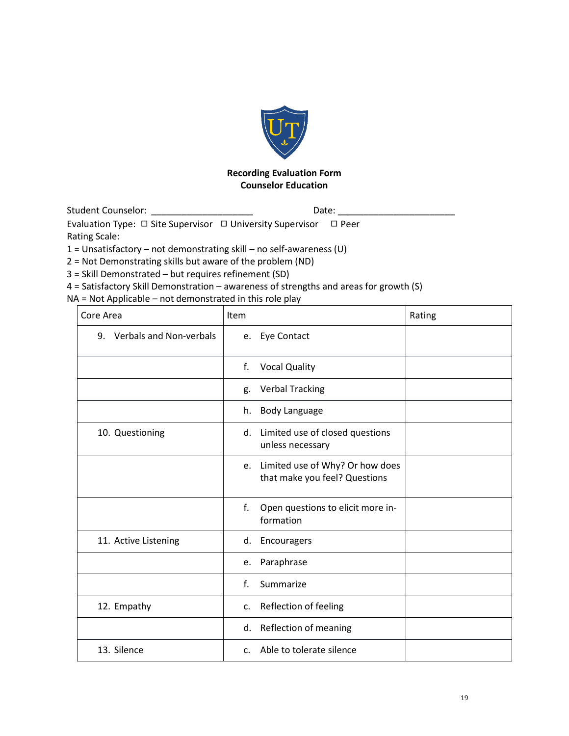

# **Recording Evaluation Form Counselor Education**

Student Counselor: etc. and the student Counselor: and the student of Date:

Evaluation Type: □ Site Supervisor □ University Supervisor □ Peer

Rating Scale:

1 = Unsatisfactory – not demonstrating skill – no self-awareness (U)

2 = Not Demonstrating skills but aware of the problem (ND)

3 = Skill Demonstrated – but requires refinement (SD)

4 = Satisfactory Skill Demonstration – awareness of strengths and areas for growth (S)

NA = Not Applicable – not demonstrated in this role play

| Core Area                  | <b>Item</b>                                                            | Rating |
|----------------------------|------------------------------------------------------------------------|--------|
| 9. Verbals and Non-verbals | e. Eye Contact                                                         |        |
|                            | f.<br><b>Vocal Quality</b>                                             |        |
|                            | <b>Verbal Tracking</b><br>g.                                           |        |
|                            | <b>Body Language</b><br>h.                                             |        |
| 10. Questioning            | Limited use of closed questions<br>d.<br>unless necessary              |        |
|                            | Limited use of Why? Or how does<br>e.<br>that make you feel? Questions |        |
|                            | f.<br>Open questions to elicit more in-<br>formation                   |        |
| 11. Active Listening       | d.<br>Encouragers                                                      |        |
|                            | Paraphrase<br>e.                                                       |        |
|                            | f.<br>Summarize                                                        |        |
| 12. Empathy                | Reflection of feeling<br>$C_{\star}$                                   |        |
|                            | Reflection of meaning<br>d.                                            |        |
| 13. Silence                | c. Able to tolerate silence                                            |        |